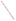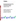

# **Environmental Technology Verification Program**  Advanced Monitoring Systems Center

Generic Protocol for Pilot-Scale Verification of Continuous Emission Monitors for Mercury

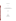# **GENERIC PROTOCOL**

**FOR** 

#### **PILOT-SCALE VERIFICATION OF CONTINUOUS EMISSION MONITORS FOR MERCURY**

**August 2002** 

**Prepared by** 

**Battelle 505 King Avenue Columbus, OH 43201-2693**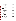# **TABLE OF CONTENTS**

| 5.3 Precision |
|---------------|
|               |
|               |
|               |
|               |
|               |
|               |
|               |
|               |
|               |
|               |
|               |
|               |
|               |
|               |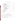# **TABLE OF CONTENTS (Continued)**

6.2 Reference Method ................................................ 38

6.3 RKIS Monitoring Equipment ........................................ 38 6.4 Equipment Used for Performance Evaluation Audits ...................... 39

7.1 Calibration ...................................................... 39

7.2 Audits ......................................................... 41

7. Quality Assurance/Quality Control ........................................... 39

6.2.1 Sampling Trains ........................................... 38 6.2.2 Analysis Equipment ........................................ 38

7.1.1 Test Facility Monitoring Equipment ............................ 39 7.1.2 Reference Method ......................................... 40 7.1.3 Analytical Laboratory ....................................... 41

7.2.1 Technical Systems Audits .................................... 7.2.2 Performance Evaluation Audit ................................ 7.2.3 Audits of Data Quality ...................................... 7.2.4 Assessment Reports ........................................ 7.2.5 Corrective Action ..........................................

| <b>DOCUMENT</b> |  |
|-----------------|--|
|                 |  |
|                 |  |
| <b>NRCHIVE</b>  |  |
| E               |  |
| EPA             |  |
| 95              |  |
|                 |  |

## **Page**

|           | <b>List of Figures</b>                                              |  |  |  |  |  |  |
|-----------|---------------------------------------------------------------------|--|--|--|--|--|--|
| Figure 1. |                                                                     |  |  |  |  |  |  |
| Figure 2. | Side View (top) and End View (bottom) of the RKIS Test Facility  15 |  |  |  |  |  |  |
| Figure 3. | Schedule of Verification Test Day with Ontario Hydro Sampling 25    |  |  |  |  |  |  |
| Figure 4. |                                                                     |  |  |  |  |  |  |
| Figure 5. |                                                                     |  |  |  |  |  |  |
|           |                                                                     |  |  |  |  |  |  |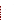# **TABLE OF CONTENTS (Continued)**

# **List of Tables**

| Table 1. |                                                                    |
|----------|--------------------------------------------------------------------|
| Table 2. |                                                                    |
| Table 3. |                                                                    |
| Table 4. | Summary of Flue Gas Constituent Concentrations Planned for         |
| Table 5. | Interferant Gases and Concentrations to Be Used in                 |
| Table 6. | Summary of Data to be Obtained in Mercury CEM Verification Test 30 |
| Table 7. |                                                                    |
| Table 8. |                                                                    |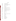# **ACRONYMS**

| <b>ACS</b>      | <b>American Chemical Society</b>               |  |  |  |
|-----------------|------------------------------------------------|--|--|--|
| <b>AMS</b>      | <b>Advanced Monitoring Systems</b>             |  |  |  |
| <b>ASAT</b>     | Atmospheric Science and Applied Technology     |  |  |  |
| <b>CEM</b>      | continuous emission monitor                    |  |  |  |
| Cl <sub>2</sub> | chlorine                                       |  |  |  |
| CO              | carbon monoxide                                |  |  |  |
| CO <sub>2</sub> | carbon dioxide                                 |  |  |  |
| <b>CVAAS</b>    | cold vapor atomic absorption spectroscopy      |  |  |  |
| <b>CVAFS</b>    | cold vapor atomic fluorescence spectroscopy    |  |  |  |
| <b>EM</b>       | elemental mercury                              |  |  |  |
| <b>EPA</b>      | United States Environmental Protection Agency  |  |  |  |
| <b>ETV</b>      | <b>Environmental Technology Verification</b>   |  |  |  |
| <b>HCl</b>      | hydrogen chloride                              |  |  |  |
| Hg              | mercury                                        |  |  |  |
| $Hg^{\circ}$    | mercury vapor phase                            |  |  |  |
| l               | liter                                          |  |  |  |
| ml              | milliliter                                     |  |  |  |
| <b>NIST</b>     | National Institute of Standards and Technology |  |  |  |
| NO              | nitric oxide                                   |  |  |  |
| $NO_{v}$        | nitrogen oxides                                |  |  |  |
| $\mathbf{O}_2$  | oxygen                                         |  |  |  |
| OH              | Ontario Hydro                                  |  |  |  |
| OM              | oxidized mercury                               |  |  |  |
| PE              | performance evaluation                         |  |  |  |
| PM              | particulate mercury                            |  |  |  |
| ppb             | parts per billion                              |  |  |  |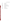# **ACRONYMS (Continued)**

| ppm             | parts per million                           |
|-----------------|---------------------------------------------|
| QA              | quality assurance                           |
| $\overline{OC}$ | quality control                             |
| <b>QMP</b>      | <b>Quality Management Plan</b>              |
| <b>RKIS</b>     | Rotary Kiln Incinerator Simulator           |
| <b>SDAS</b>     | <b>Statistics and Data Analysis Systems</b> |
| SO <sub>2</sub> | sulfur dioxide                              |
| <b>TM</b>       | total mercury                               |
| <b>TSA</b>      | technical systems audit                     |
| <b>TVM</b>      | total vapor-phase mercury                   |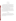#### **1 INTRODUCTION**

#### **1.1 Test Description**

This test protocol provides generic procedures for implementing a verification test of continuous emission monitors (CEMs) used to measure total and chemically speciated mercury (Hg) in source emissions. Verification tests are conducted under the auspices of the U.S. Environmental Protection Agency (EPA) through its Environmental Technology Verification (ETV) program. The purpose of the ETV program is to provide objective and quality-assured performance data on environmental technologies, so that users, developers, regulators, and consultants can make informed decisions about this technology.

The verification tests are performed by Battelle, of Columbus, Ohio, which is EPA's partner for the ETV Advanced Monitoring Systems (AMS) Center. The scope of the AMS Center covers verification of monitoring methods for contaminants and natural species in air, water, and soil. In performing verification tests, Battelle follows the procedures specified in this protocol and complies with quality requirements in the "Quality Management Plan for the ETV Advanced Monitoring Systems Center" (QMP).<sup>(1)</sup>

#### **1.2 Test Objective**

The purpose of verification tests of commercial mercury CEMs is to evaluate their performance by comparing them to a reference method for measuring Hg and by challenges with mercury standard gases and interferences, under controlled conditions in a pilot-scale combustion facility. A subsequent test, based on a separate protocol, may be conducted to assess performance at a full-scale facility.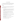#### **1.3 Roles and Responsibilities**

The verification test is performed by Battelle in cooperation with EPA and the vendors whose CEMs will be verified. The chart in Figure 1 shows the organization of responsibilities for Battelle, the vendor companies, and EPA. Specific responsibilities are detailed below.

# **1.3.1 Battelle**

The AMS Center Verification Test Coordinator has the overall responsibility for ensuring that the technical, schedule, and cost goals established for the verification test are met. The Verification Test Coordinator shall

- Coordinate Battelle, EPA, contractor, and vendor staff to conduct the verification test
- Ensure that Battelle/EPA/contractor/vendor team perform the verification test in accordance with all quality procedures specified in the test/quality assurance (QA) plan and the QMP
- Have overall responsibility for ensuring that this test/OA plan is followed
- Prepare a draft test/QA plan, verification reports, and verification statements
- Revise the draft test/QA plan, verification reports, and verification statements in response to reviewers' comments
- Coordinate distribution of the final test/QA plan, verification reports, and statements
- Respond to any issues raised in assessment reports and audits, including instituting corrective action as necessary
- Serve as the primary point of contact for vendor representatives
- Establish a budget for the verification test and monitor staff effort to ensure that budget is not exceeded
- Ensure that confidentiality of vendor information is maintained
- Ensure that all quality procedures are followed.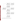

**Figure 1. Organization Chart for the Mercury CEM Verification Test**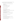The Verification Testing Leader for the AMS Center provides technical guidance and oversee the various stages of the verification test. The Verification Testing Leader shall

- Support the Verification Test Coordinator in preparing the test/QA plan and organizing the test
- Review the draft test/QA plan
- Review the draft verification reports and statements
- • Ensure that vendor confidentiality is maintained.

The Battelle AMS Center Manager shall

- Review the draft test/QA plan
- Review the draft verification reports and statements
- • Ensure that necessary Battelle resources, including staff and facilities, are committed to the verification test
- Ensure that vendor confidentiality is maintained
- Support Verification Test Coordinator in responding to any issues raised in assessment reports and audits
- Maintain communication with EPA's Center and ETV Quality Managers.

The Battelle Quality Manager for this verification test shall

- Review the draft test/QA plan
- Maintain communication with EPA's Quality Manager for the AMS Center
- Conduct a TSA once during the verification test
- Review results of performance evaluation audit(s) specified in the test/ $QA$  plan
- Audit at least 10% of the verification data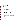- Prepare and distribute an assessment report for each audit
- Verify implementation of any necessary corrective action
- Issue a stop work order if self-audits indicate that data quality is being compromised; notify Battelle's AMS Center Manager if a stop work order is issued
- Provide a summary of the audit activities and results for the verification reports
- Review the draft verification reports and statements
- Ensure that all quality procedures specified in this test/OA plan and in the  $OMP^{(1)}$  are followed.

Staff statisticians shall provide statistics and data analysis support. In particular, statistical staff shall

- Contribute to planning statistical treatment of the CEM data
- Perform statistical calculations specified in the test/OA plan on the analyzer data
- Provide results of statistical calculations and associated discussion for the verification reports
- Support the Verification Test Coordinator in responding to any issues raised in assessment reports and audits related to statistics and data reduction.

Battelle Atmospheric Science and Applied Technology (ASAT) staff shall support the Verification Test Coordinator in planning and conducting the verification test. ASAT staff shall

- • Assist in planning for the test and making arrangements for installing the CEMs
- Assist vendors and test facility staff as needed during the CEM installation and verification testing
- Assure that test procedures and data acquisition are conducted according to the test/QA plan.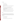# **1.3.2 Vendors**

Vendor representatives shall

- Review the draft test/QA plan
- Approve the final test/QA plan
- Participate in required safety training at the test facility before installation of their CEMs
- Attend a pre-study site visit to review facility requirements for testing
- Provide a mercury CEM for the duration of the verification test
- Commit a trained technical person to operate, maintain, and repair the CEMs throughout the verification test
- Participate in verification testing, including providing data acquisition for their mercury CEMs
- Provide to Battelle staff the data from the CEMs at the conclusion of each test day
- • Review their respective draft verification reports and verification statements.

# **1.3.3 EPA**

EPA's responsibilities in the AMS Center are based on the requirements stated in the "Environmental Technology Verification Program Quality and Management Plan for the Pilot Period (1995-2000)<sup> $(2)$ </sup> or the most current update of this document. The roles of specific EPA staff are as follows:

### EPA's ETV Quality Manager shall

- Review the draft test/QA plan
- Perform, at his/her option, one external TSA during the verification test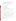- Notify the Battelle AMS Center Quality Manager to facilitate a stop work order if an external audit indicates that data quality is being compromised
- Prepare and distribute an assessment report summarizing the results of an external audit, if performed
- Review the draft verification reports and statements.

The EPA AMS Center Manager shall

- Review the draft test/OA plan
- Approve the final test/ $QA$  plan
- Review the draft verification reports and statements
- Oversee the EPA review process on the draft verification test/QA plan, reports, and statements
- Coordinate the submission of verification reports and statements for final EPA approval.

This verification test may be conducted in collaboration with non-Battelle staff operating the pilot-scale facility. The operator's responsibilities are to

- Coordinate the operation of the pilot-scale facility for the purposes of ETV testing
- Conduct pre-verification testing to document the capabilities of the pilot-scale facility and reference methods
- Coordinate the installation of vendor equipment at the pilot-scale facility
- Communicate needs for safety and other training of staff working at the pilot-scale facility
- Contribute to the development of the draft test/QA plan
- Review the draft test/QA plan
- Provide input for the verification test reports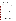- Provide input in responding to any issues raised in assessment reports and audits related to pilot-scale facility operations
- Review draft verification reports and verification statements.

# **1.3.4 Contractor**

The contractor operating the pilot-scale facility may perform some duties under contract with EPA and additional duties related to the verification test under a subcontract with Battelle. The contractor's responsibilities may include

For EPA:

- Assemble trained technical staff to operate the pilot-scale facility
- Ensure that the facility is fully functional prior to the times/dates needed in the verification test
- Oversee technical staff in facility operation during the verification test
- Ensure that operating conditions and procedures for the pilot-scale facility are recorded during the verification test
- Review and approve all data and records related to facility operation.

For Battelle:

- Review the draft test/QA plan
- Adhere to the quality requirements in this test/OA plan and in the OMP
- Assemble trained technical staff to conduct reference method sampling for the verification test
- Contract for and oversee laboratory analysis of the reference method samples
- Report reference method analytical and QA results to Battelle in an agreed-upon format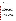- Provide input on facility operating conditions and procedures for the verification test report
- Support the Verification Test Coordinator in responding to any issues raised in assessment reports and audits related to facility operation.

### **2 APPLICABILITY**

#### **2.1 Subject**

This generic protocol is applicable to the verification testing of commercial CEMs for determining total and/or chemically speciated Hg in combustion source emissions. Total Hg is the sum of Hg in all phases and chemical forms in the combustion gas, including elemental mercury (Hg<sup>o</sup>), oxidized mercury (typically mercuric chloride  $[(HgCl<sub>2</sub>)$ , and/or mercuric oxide (HgO) vapors)], and particulate-phase mercury. Most commercial Hg CEMs do not measure the particulate phase Hg; instead they filter out particulate matter and measure the total of the vaporphase Hg species. This approach is taken because, at least for electrical-generating facilities, recent stack test results indicate that generally the great majority of emitted Hg is in the vapor phase.(3) Commercial CEMs may provide chemical speciation data, i.e., the oxidized and elemental fractions of the Hg vapor species are reported separately. This separation is usually accomplished by a difference measurement in which oxidized Hg is chemically reduced or thermally decomposed to elemental mercury for detection.

The commercial mercury CEMs also use a variety of final analytical approaches to detect Hg. Cold vapor atomic absorption spectroscopy (CVAAS), cold vapor atomic fluorescence spectroscopy (CVAFS), and differential optical absorption spectroscopy are all used, but can detect only elemental Hg, and so require the speciation approaches outlined above to determine oxidized Hg. Atomic emission spectroscopy is used in one commercial CEM and has the advantage that, in principle, all forms of Hg, including particulate, are converted to elemental Hg and detected equally. This approach provides a true total Hg measurement, but does not provide any information on speciation.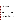The terminology to be used in this generic verification test protocol is as follows:

- Total mercury (TM)—the sum of all vapor and particulate Hg, whether elemental or oxidized
- Total vapor-phase mercury (TVM)—the sum of all vapor-phase Hg species, whether elemental or oxidized
- Elemental mercury (EM)—vapor-phase  $Hg^{\circ}$
- Oxidized mercury (OM)—the sum of vapor-phase non-elemental Hg, regardless of chemical species (e.g.,  $HgCl<sub>2</sub>$ , and others)
- Particulate mercury (PM)—Hg in the particulate phase.

The CEMs tested according to this protocol shall be verified for their measurement of any and all of the applicable Hg components listed above. For example, a monitor that determines TVM and EM, and by difference determines OM, will be verified for measuring all three components. In the United States, emission regulations on combustion sources are expected to address only total Hg. However, there are valuable non-regulatory uses of Hg speciation data; and, therefore, speciation capabilities of the CEMs will be verified.

Verification testing requires a basis for establishing the quantitative performance of the tested technologies. For the verification testing conducted under this protocol, the basis of comparison consists of a reference method of measurement, i.e. the Ontario Hydro (OH) method,<sup>(4)</sup> currently recognized as the most suitable procedure to determine oxidized and elemental Hg in source emissions. This method is specifically designed for use in environments containing high levels of sulfur dioxide  $(SO<sub>2</sub>)$  and has shown agreement within about 10% for total Hg with EPA Method 101A, in trial runs at the pilot facility to be used for this verification<sup>(5)</sup> and in other sampling tests.<sup>(e.g., 6)</sup>

This generic test protocol calls for the use of a natural-gas-fired pilot-scale incineration facility as the test bed for the verification. Such a facility allows flexibility in simulating different sources of combustion flue gas, such as coal combustion or mixed waste incineration, by injecting constituents into the combustion zone. However, other combustion sources may also be used, provided they allow appropriate control of test conditions and Hg levels.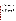#### **2.2 Scope**

US EPA ARCHIVE DOCUMENT

The overall objective of the verification test derived from this protocol is to provide quantitative verification of the performance of the Hg CEMs in realistic test conditions. Since Hg CEMs are a relatively new group of instruments, performance expectations and procedures to assess their performance are not fully established. EPA has published the draft performance specification document,  $PS-12<sup>(7)</sup>$  a proposed description of how to assess the acceptability of a Hg CEM upon installation and thereafter. However, the draft PS-12 is patterned after performance specifications for CEMs for other pollutants, such as  $SO<sub>2</sub>$  and nitrogen oxides  $(NO<sub>x</sub>)$ ; and, as a result, it includes requirements that are inappropriate or currently not feasible. For example, the draft PS-12 requires the CEM to measure both vapor and particulate phase Hg. As noted above, most current CEMs do not determine particulate-phase Hg. Also, the draft PS-12 requires absolute standards for both EM and OM (the latter in the form of  $HgCl<sub>2</sub>$ ). Although elemental Hg compressed gas standards are becoming commercially available, they have not yet been widely used. The stability of such standards appears to be good enough to assess instrument drift and precision,<sup>(e.g., 8)</sup> but their absolute quantitation may not be sufficient to assess instrument accuracy. Comparable standards for  $HgCl<sub>2</sub>$  do not yet exist. As a result of factors such as these, and because PS-12 is a draft document soon to be revised, it is not appropriate to adopt PS-12 procedures as the basis for this verification test. Instead, tests should be designed to evaluate CEM performance on key monitoring characteristics, while addressing some performance requirements raised in PS-12 as closely as possible.

The performance parameters that are addressed by this test protocol include:

- Relative accuracy
- Correlation with reference method
- **Precision**
- Calibration drift
- Zero drift
- Sampling system bias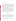- Interference response
- Response time.

Relative accuracy, correlation with the reference method, and precision (i.e., repeatability at stable test conditions) shall be assessed for whichever of the TM, EM, OM, and PM fractions are measured by the commercial CEM. Calibration and zero drift, response time, and sampling system bias shall be assessed for EM only, using commercial compressed gas standards of EM. Interference response shall be assessed in sampling the combustion facility flue gas, rather than in sampling diluted calibration gases, as called for in PS-12. Calibration error is not assessed in this test because of the absence of absolute standards.

It is beyond the scope of a verification test derived from this protocol to simulate the aging and exposures that may affect a CEM during routine long-term use. This protocol describes a verification test that evaluates the performance of new CEMs installed in a pilotscale facility, over a relatively short test period, in the hands of skilled vendor staff. It must be noted that long-term performance may be different from that observed in the testing described here. However, the effort spent in installing and maintaining each CEM shall be documented, and the amount of time each CEM is operational over the verification test period shall be recorded to assess data completeness.

# **3 SITE DESCRIPTION**

The verification test described in this protocol was conducted at the Rotary Kiln Incinerator Simulator (RKIS) at the EPA Incineration Research Laboratory in Research Triangle Park, North Carolina. While this protocol discusses, in detail, the facilities and capabilities of the RKIS, the protocol may be adapted for other test facilities. If another facility is used, care must be taken to make sure it meets the minimum requirements for this protocol. These include

- Multiple ports for isokinetic flue gas sampling
- Ability to measure  $O_2$ ,  $CO_2$ ,  $CO$ ,  $SO_2$ ,  $NO/NO_x$ , and hydrogen chloride (HCl)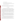- Ports for injecting interferents
- Ability to introduce Hg into flue gas at reproducible concentrations
- Ability to conduct OH reference method measurements and analyze resulting samples
- Ability to inject particulate into flame zone.

Through the remainder of this protocol, the RKIS is used as a specific test facility example. This section of the protocol describes the RKIS and the procedures for operating it for this test.

#### **3.1 Test Facility**

A schematic diagram of the RKIS is provided in Figure 2, and the RKIS design characteristics are provided in Table 1. The RKIS was modified in 1997 for a simultaneous test of eight multi-metal CEMs; Figure 2 and Table 1 reflect those modifications. The RKIS consists of a primary combustion chamber, a transition section, and a fired afterburner in the secondary combustion chamber. Both the kiln and afterburner are fitted with 73-kW (0.25-MMBtu/h) auxiliary fuel burners. Natural gas is the primary fuel, although liquid waste or fuel oil can also be fired. Typical firing rates are 29 to 88 kW (0.1 to 0.3 MMBtu/h) to each of the kiln sections and the afterburner.

Combustion flue gases exiting the afterburner are rapidly cooled to approximately 540°C (1,000°F) as they pass through a water-jacketed section of ductwork. Further cooling, to approximately 340°C (650°F) or less, is achieved by adding air through an air dilution damper just upstream of a 9.9-m (35-ft) long, 20.3-cm (8-in.) diameter duct that contains the sampling ports. Both the CEMs to be tested and the reference method measurements will use these sampling ports.

Access for isokinetic flue gas sampling is available at several locations in the duct noted above, via standard 3-inch (7.6-cm) and 4-in. (10.2-cm) diameter National Pipe Thread couplings. These sampling ports are located in straight horizontal and vertical runs of circular cross section, nominally 8-in. (20.3-cm) diameter, Schedule-10 stainless steel pipe. The sampling ports are configured as a ring of three ports, which includes a 10.2-cm (4-in.) diameter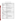| <b>Characteristics of the Primary Combustion Chamber</b> |                                                                |  |  |  |
|----------------------------------------------------------|----------------------------------------------------------------|--|--|--|
| Length                                                   | $1.83 \text{ m}$ (6 ft)                                        |  |  |  |
| Diameter, Outside                                        | $1.22 \text{ m} (4 \text{ ft})$                                |  |  |  |
| Diameter, Inside                                         | Nominal 0.76 m (2.5 ft)                                        |  |  |  |
| <b>Chamber Volume</b>                                    | $0.28 \text{ m}^3 (9.9 \text{ ft}^3)$                          |  |  |  |
| Construction                                             | $0.64$ cm $(0.25$ in) thick cold-rolled steel                  |  |  |  |
| Refractory                                               | 23 cm (9 in) thick high alumina castable refractory at maximum |  |  |  |
|                                                          | I.D. point                                                     |  |  |  |
| Rotation                                                 | Counterclockwise, 0.25 to 2 rpm                                |  |  |  |
| Solids Retention Time                                    | Batch system—solids remain until physically removed            |  |  |  |
| <b>Burner</b>                                            | Custom burner based on IFRF design rated at 73 kW              |  |  |  |
|                                                          | (0.25 MMBtu/h) with liquid feed capability                     |  |  |  |
| Primary Fuel                                             | Natural gas                                                    |  |  |  |
| Feed System:                                             |                                                                |  |  |  |
| Liquids                                                  | Fuel oil or liquid waste pumped into burner                    |  |  |  |
| Solids                                                   | Manual batch containers fed with ram rod                       |  |  |  |
| Temperature (max.)                                       | $1,100^{\circ}$ C $(2,000^{\circ}F)$                           |  |  |  |
|                                                          | <b>Characteristics of the Afterburner Chamber</b>              |  |  |  |
| Length                                                   | 3 m (10 ft)                                                    |  |  |  |
| Diameter, Outside                                        | $1.22 \text{ m} (4 \text{ ft})$                                |  |  |  |
| Diameter, Inside                                         | $0.61$ m $(2 \text{ ft})$                                      |  |  |  |
| Chamber Volume:                                          |                                                                |  |  |  |
| <b>Mixing Chamber</b>                                    | $0.18 \text{ m}^3$ (6.3 ft <sup>3</sup> )                      |  |  |  |
| <b>Plug Flow Chamber</b>                                 | $0.45 \text{ m}^3$ (16 ft <sup>3</sup> )                       |  |  |  |
| Construction                                             | 0.64 cm (0.25 in) thick cold-rolled steel                      |  |  |  |
| Refractory                                               | 30 cm (12 in) thick high alumina castable refractory           |  |  |  |
| Gas Residence Time                                       | 2 to 5 s depending on temperature and excess air               |  |  |  |
| <b>Burner</b>                                            | Custom burner based on IFRF design rated at 73 kW              |  |  |  |
|                                                          | $(0.25 \text{ MMBtu/h})$                                       |  |  |  |
| Primary Fuel                                             | Natural gas                                                    |  |  |  |
| Temperature (max.)                                       | $1,100^{\circ}$ C $(2,000^{\circ}F)$                           |  |  |  |

# **Table 1. Design Characteristics of the RKIS**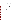

**Figure 2. Side View (top) and End View (bottom) of the RKIS Test Facility**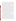port opposite a 7.6-cm (3-in.) diameter port and a single 7.6-cm (3-in.) diameter port at right angles to the other two. Eight sets of ports are in place. The first set of ports is 4.3 m (14 ft) downstream from the air dilution damper. The second set of ports is 1.4 m (4.5 ft) downstream of the first set. Two additional sets of ports are located at 0.6-m (2-ft) intervals downstream, and the remaining ports are at about 2-m (6.6 ft) intervals further downstream. The Hg CEMs undergoing testing will be located at ports 5, 6, and 7 (Figure 2); the reference method sampling will take place at the locations labeled RM1 and RM2 (Figure 2).

Flue gas concentrations of oxygen  $(O_2)$ , carbon dioxide  $(CO_2)$ , carbon monoxide  $(CO)$ , nitric oxide and total nitrogen oxides  $(NO/NO<sub>x</sub>)$ ,  $SO<sub>2</sub>$ , and hydrogen chloride (HCl) are monitored at the RKIS by means of CEMs for these species. These CEMs are calibrated and operated by EPA and/or contractor staff as part of the normal operations of the RKIS facility. These CEMs, which are identified in Table 2, can draw sample from various points in the duct. In this test,  $O<sub>2</sub>$ content will be measured just downstream of the air dilution damper and also in a section of duct downstream of the Hg CEM and reference method locations. Comparing the upstream to downstream  $O<sub>2</sub>$  measurement will verify that neither the tested CEMs nor the reference method sampling are causing air in-leakage resulting in flue gas sample dilution. Flue gas at the mercury CEM sampling locations will have a temperature of up to 340°C (650°F), an oxygen content of about 15%, and a moisture content of about 7% by volume. The duct is at a negative pressure (draft) of nominally 0.25 kPa (-1 in. water column). The volumetric flow rate is about 8.8 scm/min (310 scfm), resulting in flow velocities that are nominally 1.8 to 2.9 m/s (5.9 to 9.5 ft/s). Flow velocities are essentially constant across the duct diameter.

The RKIS facility CEMs have two major roles in a verification test. First, measurements of major diluent gases in the flue gas  $(O_2, CO_2)$  are used, along with  $H_2O$  content results obtained from the OH method, to assess air in-leakage as noted above and to establish the flue gas composition for adjustment of all test results to common conditions. Second, measurements of pollutants  $(CO, SO<sub>2</sub>, NO/NO<sub>x</sub>, HCl)$  are used to document normal flue gas composition and to establish the target levels of interferants added to the RKIS flue gas. That is, interferant levels are achieved by actual measurements in the duct using the RKIS CEMs, rather than by calculated dilutions of standards for  $SO_2$ , CO, etc., injected into the flue gas. In the case of  $NO_x$ , the injected interferant is NO; typically 5 to 10% of the injected NO is converted to  $NO<sub>2</sub>$  in the RKIS. HCl levels may be prepared by injecting HCl or chlorine gas  $(Cl<sub>2</sub>)$  and monitoring with the RKIS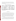CEM for HCl. Injecting  $Cl_2$  into the RKIS may produce both  $Cl_2$  and HCl, depending on the point of introduction of the  $Cl_2$ . In such cases, the amount of  $Cl_2$  in the flue gas is calculated as the amount injected minus the HCl measured by the HCl CEM. This approach is made necessary by the absence of a CEM for  $Cl_2$ .

| <b>Pollutant</b><br><b>Instrument</b> |                                        | <b>Principle</b>   | <b>Measurement</b><br>Range(s) |  |
|---------------------------------------|----------------------------------------|--------------------|--------------------------------|--|
| O <sub>2</sub>                        | <b>Rosemount Analytical Model 755R</b> | Paramagnetic       | $0-25%$                        |  |
| CO <sub>2</sub>                       | Horiba Model VIA510                    | NDIR <sup>a</sup>  | $0 - 20%$                      |  |
| CO<br>Horiba Model PIR2000            |                                        | <b>NDIR</b>        | $0-500$ ppm                    |  |
| NO <sub>x</sub>                       | TECO Model 10                          | Chemiluminescent   | $0-250$ ppm                    |  |
| SO <sub>2</sub>                       | Bodenzeewerk Model MCS 100             | GFCIR <sup>b</sup> | 0-250, 0-2500 ppm              |  |
| <b>HCl</b>                            | Bodenzeewerk Model MCS 100             | <b>GFCIR</b>       | $0-100$ , $0-1000$ ppm         |  |

**Table 2. Summary of RKIS Pollutant CEMs** 

 $a$  NDIR = nondispersive infrared.

 $<sup>b</sup>$  GFCIR = gas filter correlation infrared.</sup>

#### **3.2 RKIS Operation**

For all tests, both the kiln and the afterburner are fired with natural gas. No waste or simulated waste feed to the kiln is employed; however, mercury is introduced into the flue gas by atomizing an aqueous solution of mercuric nitrate  $(Hg(NO_3))$  into the afterburner. The mercury solution is atomized into an annulus inside the afterburner natural gas feed tube. The solution is atomized at the exit from that annulus, introducing Hg-containing aerosol droplets directly into the burner flame. The droplets evaporate rapidly in the flame zone, yielding primarily dry, vapor-phase Hg. The oxidation state of the Hg is manipulated by also introducing gaseous chlorine into the RKIS.

Two Hg solutions are used in the test to produce relatively low Hg levels, simulating those in coal-fired power plant flue gas, and much higher levels, simulating those in incinerator flue gas. In both cases, the solution addition rate will be nominally 10 liters per minute. The high concentration solution is diluted approximately ten-fold to make the solution for the lower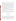target concentration tests. The target low and high Hg concentrations are about 8  $\mu$ g/m<sup>3</sup> and 80  $\mu$ g/m<sup>3</sup>, respectively.

Particulate matter is introduced into the flame zone to produce a particulate matter loading in the flue gas downstream. Particulate injection is needed primarily to create a realistic flue gas environment and also to provide a particulate Hg sample to verify the TM and PM measurement capabilities of CEMs that determine the PM component. A K-Tron mass-controlled feeder is used to inject coal flyash from a utility boiler directly into the hot flue gas as it exits the kiln. The flyash to be used was selected for its low reactivity with vapor-phase Hg and shall be thoroughly characterized for Hg content. The particulate loading during verification testing is determined using the filter and front half catch from the OH reference method trains, rather than from a separate Method 5 train. One OH train from each of the two reference sampling locations is used to determine particulate loading in each run.

In addition to Hg and particulate matter, other common flue gas constituents are introduced to simulate flue gas composition and evaluate potential interferences in Hg CEM measurements. Specifically,  $Cl_2$ , HCl,  $CO$ ,  $SO_2$ , and NO are introduced by diluting compressed gases into the flue gas.

Hg solutions, particulate matter, or gases are injected only after stable operation of the RKIS is achieved, and the RKIS flue gas cleaning system is operating within its permit limits. Injection begins at least 30 minutes before any reference sampling or verification data collection takes place.

## **4 EXPERIMENTAL DESIGN**

#### **4.1 General Design**

The verification test derived from this generic test protocol shall be conducted over about a three-week period at the test facility. The first week is spent installing the commercial CEMs and conducting a shakedown run of all systems before the verification effort begins. Testing does not begin until all the reference method equipment and test facilities are fully operational. Similarly, it is desirable that all the commercial CEMs be fully operational to participate in the verification test. However, to avoid delaying the start of the testing, all participating CEMs shall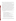be required to arrive at the facility by a specified day and be ready to begin testing within one week after arrival, or when the test facility itself is fully ready, whichever is later. CEMs that are not operational at that time may join the testing process once they come on line.

The two weeks of testing follow immediately after the setup/shakedown period. A similar test schedule is followed in each of the two weeks, but the Hg levels and the levels of other flue gas constituents are different in the two weeks. Verification involves comparing the CEM results with those from a time-integrated reference method (the OH Method), $^{(4)}$  as well as challenges with interferences and with Hg° compressed gas standards. In general, different test activities are conducted on different days, but certain test procedures take place on every test day. All participating CEMs, and the reference method sampling trains, sample flue gas at the same time from the RKIS duct. However, it is not possible to collocate the sampling points of all the CEMs. Tests at the RKIS facility have shown that Hg concentrations are conserved in passage through the duct, so the exact location of individual CEMs is not expected to introduce bias in the verification.<sup>(5)</sup> Reference method samples are collected at both the upstream and downstream end of the duct in all verification testing to document the Hg levels and Hg speciation.

The performance parameters to be verified and the procedures with which they will be tested are summarized below:

- Relative accuracy—by comparison to reference method results on flue gas samples
- Correlation—with reference method results
- Precision—by repeated readings under stable conditions
- Calibration drift/zero drift—by sampling of Hg<sup>o</sup> standard gas or zero gas
- Sampling system bias—by sampling of Hg<sup>o</sup> standard gas both through the CEM's sampling probe and at the CEM's Hg analyzer
- Interferences—by addition of potential interferants to the flue gas
- Response time—by observation of instrument response with standard/zero gases
- Setup/maintenance Needs—by observation of installation and maintenance efforts
- Data completeness—by the fraction of the verification test completed.

Throughout the verification test, each CEM undergoing testing is operated by the CEM vendor's own staff. However, the intent of the testing is for the CEM to operate continuously in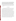a manner simulating operation at a combustion facility. **As a result, once the verification test has begun in each week of testing, no adjustment or recalibration is performed, other than what would be conducted automatically by the CEM in normal unattended operation. Adjustments to the CEM may be made between the first and second weeks of testing.**  Repair or maintenance procedures may be carried out at any time, but testing is not interrupted; and data completeness will be reduced if such activities prevent completion of verification tests.

The schedule and procedures of this verification test are described in more detail in the subsequent sections.

#### **4.2 Weekly Schedule**

The Hg CEM testing follows the weekly schedule shown in Table 3. The first four days of the week are scheduled for verification test activities of various kinds, and the fifth day is scheduled to allow for any repeat tests or completion of items not completed on earlier days. A day for maintenance and a scheduled down day complete the week. As Table 3 shows, on Monday, Tuesday, and Wednesday of the test week, verification testing will consist of challenging each CEM with zero gas and a Hg<sup>o</sup> gas standard in the morning, followed by flue gas sampling with both the CEMs and the reference method in the afternoon. As noted above, once the verification test has begun on Monday, no further adjustment of the CEM will take place until the end of the first week of testing. On Thursday and Friday of the first test week, the same Hg<sup>o</sup> challenge is carried out in the morning, resulting in a series of five successive days for this test. On Friday morning, a sampling system bias test is also conducted, in which the Hg° standard gas is first sampled through each CEM's sample interface, and then directly at the CEM's pollutant analyzer. Also on Friday morning, the response time of the CEMs is tested, using the Hg° standard gas. The afternoon of Thursday is devoted to testing interferences in the flue gas matrix, and part of the afternoon of Friday is used to perform a qualitative test of the CEM's ability to monitor Hg at levels below 5  $\mu$ g/m<sup>3</sup>. The rest of Friday afternoon is available to repeat tests from earlier days and to address any unforseen problems or opportunities in sampling.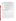| Day            | <b>AM/PM</b> | <b>Test Activity (Performance Parameter)</b>                                                                                   |  |  |  |
|----------------|--------------|--------------------------------------------------------------------------------------------------------------------------------|--|--|--|
| Monday         | AM           | Challenge with Hg° standard/zero gas (Calibration/Zero Drift)                                                                  |  |  |  |
|                | PM           | Flue gas sampling (Relative Accuracy, Correlation, Precision)                                                                  |  |  |  |
| Tuesday        | AM           | Challenge with Hg <sup>o</sup> standard/zero gas (Calibration/Zero Drift)                                                      |  |  |  |
|                | <b>PM</b>    | Flue gas sampling (Relative Accuracy, Correlation, Precision)                                                                  |  |  |  |
| Wednesday      | AM           | Challenge with Hg° standard/zero gas (Calibration/Zero Drift)                                                                  |  |  |  |
|                | <b>PM</b>    | Flue gas sampling (Relative Accuracy, Correlation, Precision)                                                                  |  |  |  |
| Thursday<br>AM |              | Challenge with Hg <sup>o</sup> standard/zero gas (Calibration/Zero Drift)                                                      |  |  |  |
|                | PM           | Spiking of flue gas (Interferences) <sup>a</sup>                                                                               |  |  |  |
| Friday         | AM           | Challenge with Hg <sup>o</sup> standard/zero gas (Calibration/Zero Drift,<br>Response Time, <sup>a</sup> Sampling System Bias) |  |  |  |
| <b>PM</b>      |              | Low level Hg response; <sup>a</sup> completion or repetition of tests                                                          |  |  |  |
| Saturday       | AM/PM        | Test preparations / Maintenance                                                                                                |  |  |  |
| Seven          |              | Down day—no testing                                                                                                            |  |  |  |

**Table 3. Weekly Schedule of Mercury CEM Verification Testing** 

 $^{\circ}$  Test performed only in the first week of verification testing.

Saturday of the first week is used to prepare for the next week of testing or to maintain the test facility or other systems.

The second week of verification testing is similar to the first, except that the interference, response time, and low level Hg tests are not performed. As a result, testing activities in the second week are completed by Thursday. This schedule allows ample time for completion or repetition of any test activities.

The interference testing is conducted by establishing a stable Hg addition to the RKIS combustion zone, and then monitoring that Hg level continuously with the CEMs while adding other flue gas constituents one at a time or together. The effect of the interferants is assessed by comparing the CEM response with only Hg added with the response when Hg and one or more interferants are added. The Hg level used in this test is the  $8-\mu g/m^3$  level to be used in the first week of verification testing. The interferant levels used are relatively high to assure a definite conclusion about the presence or absence of an interference.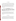#### **4.3 Test Conditions**

Table 4 shows the approximate levels of Hg and other constituents to be prepared in the flue gas stream for each of the two weeks of testing. Conditions for the first week are intended to approximate those in a coal-fired power plant and in the second week, those in a municipal waste incinerator. The order of these two test conditions was chosen so that the lower Hg concentration is used first to avoid contaminating the RKIS during testing. The approximate levels shown in Table 4 shall be maintained throughout all periods of Hg addition and reference method sampling. The flue gas levels of all constituents in Table 4 should be maintained within 10% of the target levels shown.

**Table 4. Summary of Flue Gas Constituent Concentrations Planned for Use in Verification Testing** 

| <b>Test Week</b> | Hg<br>$(\mu g/m^3)$ | SO <sub>2</sub><br>(ppm | $\sim$ (ppm) <sup>a</sup><br>$\text{HCl (ppm)}^{\text{b}}$<br>NO |                | Particulate (mg/m <sup>3</sup> ) |  |
|------------------|---------------------|-------------------------|------------------------------------------------------------------|----------------|----------------------------------|--|
| <b>One</b>       |                     | 1000                    | 250                                                              | ت              | 30                               |  |
| $T_{W\Omega}$    | 80                  |                         | 50                                                               | 0 <sup>0</sup> | or<br>٦Ι.                        |  |

<sup>a</sup> Produced by injection of NO.

 $\overline{b}$  Produced by injection of stoichiometrically equivalent levels of Cl<sub>2</sub>.

In all cases when reference method data are being taken, the introduction of the indicated constituents shall be held constant throughout the entire sampling period. The intent of this approach is to allow comparisons of CEM data with reference method data under constant conditions. Higher levels of flue gas constituents are used in the interference testing, as described in the next section.

#### **4.4 Test Procedures**

The RKIS should be operated continuously during the entire test period and should not be shut down overnight. Such continuous operation is intended to minimize the potential for retention and subsequent release of Hg by the refractory or other components of the RKIS. The Hg CEMs undergoing verification are located at ports 5, 6, and 7 of the RKIS (see Figure 2). Locations indicated as RM1 and RM2 in Figure 2 are reserved for reference method sampling,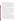which is performed by contractor staff. The sampling ports are assigned so that no CEM is affected by the operation of any other CEM upstream.

At the beginning of each test day, the CEMs undergoing testing are supplied (one at a time) with zero gas and then with a commercial compressed gas standard containing elemental Hg. The response to each gas shall be recorded on each test day to assess the zero and calibration drift of the CEMs. In this test, the Hg standard is used solely as a stable, clean sample matrix, not as an absolute Hg standard. On one test day in the first week of testing, the rise and fall times of the CEMs are determined by recording their readings as the Hg<sup>o</sup> gas is first turned on and later turned off. Also on one day in each week of testing, the Hg<sup>o</sup> standard gas is delivered first directly to the CEM's Hg analyzer, and then through the CEM's sample interface, to assess bias introduced by the interface itself.

During the drift checks, the reference method sampling trains are assembled and leak checked, and the RKIS combustion gas CEMs are calibrated in accordance with facility standard operating procedures. At this time, the RKIS operation is stabilized at the desired incineration conditions firing natural gas. After stable RKIS operation is achieved (as indicated by readings of  $O_2$ , temperature, and gaseous emissions, e.g.,  $CO$ ,  $NO_x$ ), injection of Hg spike solution to give the day's target flue gas concentration is initiated. Hg solution is fed to the RKIS for at least 30 minutes before reference method sample initiation. The addition of the other flue gas constituents will follow this same procedure. The Hg CEMs begin recording data as soon as they are brought on line. However, the reference method sampling starts no sooner than a time previously agreed upon with the CEM vendors. The CEM vendors are given at least 15 minutes notice prior to initiating reference method sampling.

The number of reference method samples collected depends on the target Hg concentration. The reference method sampling time shall be approximately three hours with the low Hg levels present in the first week of testing and approximately one hour with the higher Hg levels in the second week. This duration of sampling allows two reference method samples per day (6/week) in the first week of testing and three per day (9/week) in the second week. During verification testing, sampling is conducted simultaneously with four trains of the OH method, two each at the upstream and the downstream ends of the RKIS duct. Thus, each of the two or three measurement periods during a test day provides four OH results for comparison with the CEM data. To ensure that the reference method and CEM data sets are indeed parallel and comparable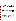for each period, the CEM vendors shall be notified of the start and stop times of each reference method period, so they can report average analyte concentrations that correspond directly to the reference method measurement period.

The OH sampling trains sample isokinetically from a single point in the center of the RKIS duct (i.e., no traversing because of the small size of the duct). The CEMs undergoing testing also sample at a single point in the center of the duct, non-isokinetically. Each CEM operates with a simple stainless steel probe and a heated filter and heated transfer line that mimic those used with the OH trains. The temperature of the heated filters shall be approximately 250°F, sufficient to keep the sample gas above its dew point; no attempt shall be made to maintain the sample gas at its stack temperature. An EPA Method 2 traverse shall be done at each reference sampling location before and after OH sampling. The pre-run traverse shall be used to set the isokinetic sampling rate. The average of the pre- and post-sampling traverses shall be used for final calculations.

The chemical analysis of recovered sample fractions from OH method trains shall be conducted by contractor staff, using contracted laboratory facilities currently used for mercury research studies at the RKIS. Sample handling, analysis, and all associated QA/QC activities will conform to the requirements of the OH method.<sup>(4)</sup> Samples shall be recovered from the OH trains within about two hours after sample collection and delivered to the analytical laboratory within 48 hours of sample collection. Samples are refrigerated until transfer to the analytical laboratory. Unique sample identification numbers are implemented so that final data used for verification can be traced back through the analytical process to the original sample. Field blank samples are recovered from one blank sampling train on each day that OH method samples are collected. Before sample recovery, that blank train is transported to the upstream or downstream sampling location at the RKIS on alternate days. Care shall be taken that the blank train is selected at random from the prepared trains, so that different trains are used as the blank on different days.

The daily schedule for the first three test days (Monday to Wednesday in Table 3) is illustrated in Figure 3. That figure shows the schedule for a day in the first week of testing when two three-hour OH runs are conducted. In the second week, three one-hour runs will be conducted each day.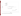



**Figure 3. Schedule of Verification Test Day with Ontario Hydro Sampling**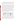Following the completion of the Hg<sup>o</sup> standard gas test, Hg,  $SO_2$ , particulate matter, etc., shall be introduced to the RKIS. As shown in Figure 3, introduction of these species into the RKIS begins at least 30 minutes before the start of the first OH run and continues until the last OH run is completed. The flue gas composition is maintained in this period at the levels shown in Table 4.

The schedule of the day on which interference is tested (Thursday in Table 4) is shown in Figure 4. The same Hg° standard gas challenges are done in the morning as described above in the context of Figure 3. Then a stable Hg level is introduced into the RKIS, and the response of the CEMs being tested is allowed to stabilize. Then each of several potential interferants is also introduced into the RKIS duct, one at a time for periods of at least one-half hour. The interferant gases and the levels to be introduced in this test are listed in Table 5. After the last individual interferant  $(Cl<sub>2</sub>)$  has been tested alone, the  $Cl<sub>2</sub>$  addition is continued, and the NO addition is resumed to assess whether the combination of  $NO<sub>x</sub>$  and  $Cl<sub>2</sub>$  produces an interference. Subsequently, the other gases  $(SO<sub>2</sub>, CO, HCl)$  also are injected to produce a mixture of all five interferants at the concentrations shown in Table 5. Finally, all the interferants are shut off, and measurements are made again with only the Hg injection taking place. Throughout the test, the Hg injection is held constant, and the Hg CEM responses in the presence of interferants are compared to those with only Hg injected into the RKIS.

|  |  |  | Table 5. Interferant Gases and Concentrations to Be Used in Interference Testing |  |  |  |  |
|--|--|--|----------------------------------------------------------------------------------|--|--|--|--|
|--|--|--|----------------------------------------------------------------------------------|--|--|--|--|

| <b>Interferant</b>  | <b>Concentration</b> |
|---------------------|----------------------|
| $NOx$ (NO addition) | $500$ ppm            |
| SO <sub>2</sub>     | $2000$ ppm           |
| $\overline{CO}$     | $500$ ppm            |
| HCl                 | $250$ ppm            |
| Cl <sub>2</sub>     | $10$ ppm             |

A final test assesses qualitatively the ability of the Hg CEMs to measure Hg levels below  $5 \mu g/m^3$ . This test shall be conducted on Friday of the first test week (Table 3), by starting with no Hg injection, then establishing a  $0.5 \,\mu g/m^3$  Hg level, and then increasing the Hg concentration in successive steps of two, i.e., to 1  $\mu$ g/m<sup>3</sup>, then to 2  $\mu$ g/m<sup>3</sup>, then to 4  $\mu$ g/m<sup>3</sup>. No absolute comparison of CEM results to OH method results methods is made in this test. However, the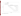

**Figure 4. Schedule of Interference Test Day**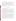introduction of Hg to the RKIS can be easily and accurately changed and provides a valuable test of Hg detection. This test is conducted after an overnight period in which no Hg has been introduced into the RKIS, assuring that background Hg levels are as low as possible prior to injecting Hg. Figure 5 shows the daily schedule of activities for this test procedure. The response of each CEM with varying levels of Hg addition is compared to that with no Hg addition, and the lowest Hg level producing a positive response is reported. The remainder of the test day after completion of the low-level Hg test is used to repeat or finish other test activities as necessary, as indicated in Table 3.

#### **4.5 Data Comparisons**

This section describes the use of reference and CEM data. Data used for the verification comparisons are summarized in Table 6.

Relative accuracy shall be verified by comparing the CEM results against the reference results for each parameter that the CEM measures. That is, if the CEM measures only total vapor-phase Hg, then only the TVM results from the OH method are used for verification. However, if the CEM also measures oxidized, elemental, or particulate Hg, then those results from the OH method also are used for verification. A total of 15 OH sampling runs shall be used in the verification test (six with lower Hg levels, and nine with higher Hg levels), with four OH sampling trains operating simultaneously in each period. Thus, a total of 60 OH samples shall be used to evaluate relative accuracy.

The purpose of sampling with dual OH trains at both reference sampling locations is to assess the variability of the reference method results that are the basis for the CEM verification. At the Hg concentrations to be used in a verification task, it is expected from previous results that the precision of duplicate OH results will be within about 10%. On the basis of those same results, it is expected that day-to-day reproducibility of Hg levels in the RKIS, and upstream-todownstream uniformity of the Hg levels, also will be within that range. Thus, consistent Hg levels are expected throughout each week of testing. As a result, the entire set of reference method results, not merely those from a single test day, shall be considered in screening for reference data quality. The OH results shall be reviewed before verification comparisons are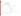

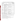| <b>Performance</b>             |                                                                                               |                                                                       | <b>Total Number of</b><br><b>Data Points for</b> |
|--------------------------------|-----------------------------------------------------------------------------------------------|-----------------------------------------------------------------------|--------------------------------------------------|
| <b>Parameter</b>               | Objective                                                                                     | <b>Comparison Based On</b>                                            | <b>Verification</b>                              |
| Accuracy                       | Determine degree of quantitative<br>agreement with reference method                           | Reference method results                                              | 60 <sup>a</sup>                                  |
| Correlation                    | Determine degree of correlation with<br>reference method                                      | Reference method results                                              | 60 <sup>a</sup>                                  |
| Precision                      | Determine repeatability of<br>successive measurements at fixed<br>mercury levels              | Repetitive measurements under<br>constant facility conditions         | 15 <sup>b</sup>                                  |
| Cal/Zero Drift                 | Determine stability of zero gas and<br>span gas response over successive<br>days              | Zero gas and Hg° standard                                             | 9 <sup>c</sup>                                   |
| Sampling<br><b>System Bias</b> | Determine effect of the CEM's<br>sample interface on response to zero<br>gas and Hg° standard | Response at analyzer vs.<br>through sample interface                  | 2 <sup>d</sup>                                   |
| Interferences                  | Determine the effect of interferants<br>on response to a constant Hg<br>concentration         | Observation of CEM response<br>with and without added<br>interferants | $7^{\circ}$                                      |
| Response Time                  | Estimate rise and fall times of the<br><b>CEMs</b>                                            | CEM results at start/stop of Hg<br>addition                           | 4 <sup>f</sup>                                   |
| Low-Level Hg<br>Response       | Determine ability of CEMs to<br>respond to Hg below 8 $\mu$ g/m <sup>3</sup>                  | Continuous monitoring of<br>varied Hg concentrations                  | 5 <sup>g</sup>                                   |

# **Table 6. Summary of Data to be Obtained in Mercury CEM Verification Test**

<sup>a</sup> Number of data points refers to total number of OH method sampling runs used for comparison. Each run will provide a value for TM, OM, EM, and PM.

<sup>b</sup> Based on the total number of OH method sampling runs in which repeatability of CEM results will be assessed.

- $\epsilon$  Based on total number of zero/span challenges done in the two weeks of testing.
- $d$  Based on conducting this test once in each week of testing.
- <sup>e</sup> Based on tests for  $SO_2$ ,  $CL_2$ ,  $NO_x$ ,  $CO$ ,  $HCl$ , and mixtures of these species done in the first week of testing.
- f Based on rise and fall time tests with pure gases, in each of the two weeks of testing.
- <sup>g</sup> Based on response to 0, 0.5, 1, 2, and 4  $\mu$ g/m<sup>3</sup> Hg levels.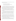made to identify individual outliers from the full set of reference method results. That is, the OH results shall be screened for three factors:

- Precision of results from collocated sampling trains
- Consistency of results with others at the respective sampling locations
- Uniformity of upstream and downstream locations.

OH test results that are identified as outliers on any of these criteria are reported, but will not be used for verification. The intent of this approach is to provide a valid set of reference data for verification purposes, while also illustrating the degree of variability of the reference method. Identification of outliers is based on basic statistical tests such as a *t*-test comparison of means or a Q-test evaluation of divergent results. In any case, where rejection of a reference result is suggested, an effort shall be made to find an assignable cause for the divergent result.

Correlation of the CEM with the OH method shall be verified using the same data used to assess relative accuracy. Correlation is calculated for each parameter measured by the CEM (i.e., TVM, EM, OM, etc.).

Precision of the CEMs shall be assessed based on the individual measurements performed by each CEM over the duration of each OH method sampling run. For example, if a CEM provides an updated measurement every five minutes; then over a one-hour sampling run, a total of 12 readings would be obtained. The average and standard deviation of those readings is calculated to assess precision. This procedure is applied to all 15 of the OH method sampling intervals.

Calibration and zero drift shall be verified based on challenging the CEMs with zero gas and with a compressed gas standard of Hg<sup>o</sup> on each test day in each week of the test. Thus, at least nine data points are used to assess zero drift and an equal number to assess calibration drift. Note that only the relative stability of the response is assessed, i.e., the Hg<sup>o</sup> standard is not used as an absolute calibration standard. The sampling system bias test is performed once, as part of the calibration/zero drift test procedure, in each week of testing.

Interference effects shall be assessed by adding potential interferants one at a time during a constant addition of Hg to the RKIS flue gas and comparing the CEM readings with and without the interferant. This is done only in the first week of testing (i.e., at the lower Hg level)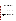for the seven individual interferants or combination of interferants described in Section 4.4. Thus, a total of seven comparisons shall be made of interference effects.

Response times shall be determined by recording successive CEM readings at times when Hg delivery to the CEM is started or stopped. This procedure is performed once in each test week as part of the calibration/zero drift test, using the Hg<sup>o</sup> standard gas. Both rise and fall time are determined, resulting in two determinations of rise time and two of fall time.

Low-level Hg response shall be evaluated once in the first test week by successively reducing the Hg level in the RKIS. The lowest Hg level giving a response above the zero air reading is reported.

No additional test activities shall be required to determine the data completeness achieved by the CEMs. Data completeness shall be assessed by comparing the data recovered from each CEM to the amount of data that would be recovered upon completion of all portions of these test procedures.

Setup and maintenance needs shall be documented qualitatively, both through observation and through communication with the vendors during the test. Factors to be noted include the frequency of scheduled maintenance activities, the downtime of the CEM, and the number of staff operating or maintaining it during the verification test.

# **5 STATISTICAL CALCULATIONS**

The statistical calculations to be used to verify CEM performance are described below. In all cases, measurement results from both the reference method and the CEMs undergoing testing are to be reported in units of  $\mu$ g/m<sup>3</sup> on a dry basis at 20°C, 1 atmosphere pressure, and the actual flue gas  $O_2$  content.

#### **5.1 Relative Accuracy**

The relative accuracy of the CEMs with respect to the reference (OH) method shall be assessed by: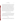$$
RA = \frac{|\vec{d}| + t_{n-1}^{\alpha} \frac{S_d}{\sqrt{n}}}{\overline{x}} \times 100\% \tag{1}
$$

where *d* refers to the difference between the OH and CEM results, and *x* corresponds to the OH result.  $S_d$  denotes the sample standard deviation of the differences, while  $t^{\alpha}_{n-1}$  is the t value for the 100(1 -  $\alpha$ )th percentile of the distribution with n-1 degrees of freedom. The relative accuracy is determined for an  $\alpha$  value of 0.025 (i.e., 97.5% confidence level, one-tailed). The relative accuracy calculated in this way can be interpreted as an upper confidence bound for the relative bias of the analyzer, i.e.,  $\frac{|\vec{d}|}{\vec{x}}$ , where the superscript bar indicates the average value of the differences or of the reference values. Relative accuracy is calculated separately for the first and second week of testing, with up to 24 samples and up to 36 samples, respectively (assuming all OH method samples can be treated as independent results). With these numbers of samples, the relative accuracy procedure stated in  $PS-12^{(6)}$  shall be followed, i.e., up to three results may be omitted from the relative accuracy calculation. The impact of the number of data points (n) on the relative accuracy value shall be noted in the verification report. Relative accuracy shall be calculated separately for each parameter measured by each CEM (i.e, TVM, EM, OM, etc.).

#### **5.2 Correlation with Reference Method**

The degree of correlation of each CEM with the reference method results shall be assessed in terms of the coefficient of determination  $(r^2)$ , which is the square of the correlation coefficient (r). The coefficient of determination is calculated for each parameter measured by each CEM (i.e, TVM, EM, OM, etc.). This calculation is made separately for the first and second week of testing, with up to 24 samples and up to 36 samples, respectively (assuming all OH method samples can be treated as independent results).

#### **5.3 Precision**

Precision shall be calculated in terms of the percent relative standard deviation of a series of CEM measurements made during stable operation of the RKIS, with Hg injected at a constant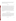level into the combustion zone. During each OH method sampling run, all readings from a CEM undergoing testing are recorded, and the mean and standard deviation of those readings are calculated. Precision  $(P)$  is then determined as

$$
P = \frac{SD}{\overline{X}} \times 100\tag{2}
$$

where *SD* is the standard deviation of the readings and  $\overline{X}$  is the mean of the readings. The same calculation is performed for each parameter measured by the CEM (i.e., TM, EM, OM, etc.). This calculation is done for each CEM, using data from every OH method sampling run (15 in all). The verification report shall note that the calculated precision is subject to the variability of the test facility, not only the CEM variability. However, since precision is assessed for all CEMs based on data from the same reference sampling periods, the relative precision of the tested CEMs will be apparent. Although no comparison among CEMs is made, all CEM data from the periods of precision testing shall be reviewed to assess whether the consensus of the CEM data indicates a variation in the test facility itself. If such a variation is indicated, that finding shall be noted in all verification reports.

#### **5.4 Calibration and Zero Drift**

Calibration and zero drift is determined in a relative sense, rather than as deviations from an absolute standard, as in PS-12. That is, calibration and zero drift will be reported in terms of the mean, relative standard deviation, and range (maximum and minimum) of the readings obtained from the CEM in the daily sampling of the same  $Hg^{\circ}$  standard gas and of zero gas. Up to five  $Hg^{\circ}$ standard readings, and up to five zero readings, are used for this calculation in each of the two weeks of verification testing. The relative standard deviation is calculated as

$$
RSD = \frac{SD}{\overline{x}} \times 100\tag{3}
$$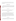where  $\overline{x}$  is the mean, and *SD* the standard deviation of the daily readings on standard or zero gas. This calculation, along with the range of the data, indicates the day-to-day variation in zero and standard readings.

#### **5.5 Sampling System Bias**

Sampling system bias shall be calculated as the difference in CEM response when sampling Hg<sup>o</sup> standard gas through the CEM's entire sample interface, compared to that when sampling the same gas directly at the CEM's pollutant analyzer, expressed as a percentage of the response at the analyzer. That is,

$$
B = \frac{R_{si} - R_a}{R_a} \times 100\tag{4}
$$

where *B* is the percent bias,  $R_{si}$  is the CEM's reading when the standard gas is supplied at the sampling inlet, and  $R_a$  is the reading when the standard is supplied to the analyzer.

#### **5.6 Interferences**

Interferences shall be determined during sampling of combustion flue gas, in terms of the difference in response to a constant Hg level when a single interferant is added or removed. Interferences are quantified in terms of the relative sensitivity to the interferant species. The relative sensitivity is calculated as the ratio of the observed change in response of the analyzer to the concentration of the interferant. For example, a CEM that reports  $8 \mu g/m^3$  of total Hg in the absence of SO<sub>2</sub>, may report 12  $\mu$ g/m<sup>3</sup> in the presence of 500 ppm SO<sub>2</sub>. The relative sensitivity of the CEM is thus  $4 \mu g/m^3/500$  ppm.

#### **5.7 Response Time**

The response time shall be determined as the time after a step change in Hg concentration when the CEM reading has reached a level equal to 95% of that step change. Both rise time and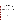fall time shall be determined. CEM response times are determined in conjunction with a calibration/zero drift check, by starting or stopping delivery of the Hg<sup>o</sup> standard gas to the CEM's sampling interface, recording all readings until stable readings are obtained, and then estimating the 95% response time. For most CEMs, the estimation process requires interpolating between successive readings, since the measurement process is not truly continuous.

#### **5.8 Low-Level Hg Response**

The ability of the commercial CEMs to determine low Hg concentrations shall be assessed by comparing responses at successive levels of 0, 0.5, 1, 2, 4, and 0  $\mu$ g/m<sup>3</sup> of added Hg in the RKIS. The lowest Hg level producing a response above that with no Hg added shall be reported. The data from all CEMs are reviewed collectively to indicate whether absence of a response may be a result of limitations of the Hg injection process or of limitations of CEM response. For example, if no CEM shows a response at the  $0.5 \mu g/m^3$  level, then no conclusion is drawn about detection of that level, since inadequate injection, rather than lack of detection, may be the cause.

#### **6 MATERIALS AND EQUIPMENT**

#### **6.1 Gases and Chemicals**

#### **6.1.1 Interference Gases**

Compressed gases  $(SO_2, NO, CO, HCl, Cl<sub>2</sub>)$  for use in simulating combustion gas composition and testing interference effects shall be obtained from a commercial supplier and should be of a minimum 99% purity. Each interference gas consists of a single interferant as a pure gas.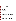#### **6.1.2 High-Purity Nitrogen/Air**

The high-purity gases used for zeroing of the CEMs shall be commercial ultra-high purity (i.e., minimum 99.999% purity) air or nitrogen.

#### **6.1.3 Mercury Standard Gases**

Two compressed gas standards containing elemental Hg shall be obtained from Spectra Gases for use in assessing the drift of the CEMs. These shall consist of Hg<sup>o</sup> in a nitrogen matrix, at levels of about 1 ppb (8  $\mu$ g/m<sup>3</sup>) and 5 ppb (40  $\mu$ g/m<sup>3</sup>), for use in the first and second weeks of testing, respectively. Multiple cylinders of uniform concentration shall be obtained, if required to meet the gas consumption rates of the CEMs during the test. Each Hg°standard cylinder shall be analyzed both before and after the verification test by sampling the cylinder contents with EPA Method 101A and analyzing for Hg.

#### **6.1.4 Injection Mercury Solutions**

The solutions used to introduce Hg into the primary combustion zone of the RKIS shall be made from commercial American Chemical Society (ACS) reagent grade mercury (II) nitrate monohydrate (minimum 98% purity), or mercuric chloride  $(HgCl<sub>2</sub>)$  using deionized water. A measured mass of the reagent is dissolved in deionized water with 25 milliliters of concentrated nitric acid (70 wt. percent, ACS reagent grade), and diluted to 4 liters with deionized water. Serial dilutions of this stock solution produce the working injection solutions. Each such solution is made by diluting an aliquot of the stock solution, along with 25 milliliters of the nitric acid, in deionized water, up to a 4-liter volume. All solution concentrations are calculated and reported in terms of Hg. The concentration of the injection solution must be known to calculate Hg feed rate and to fulfill RKIS permit reporting requirements. In terms of verification testing, while Hg injection solution concentrations and feed rates aid in establishing the appropriate flue gas Hg concentrations, the actual flue gas Hg content shall be determined by the OH method sampling and not by calculating the injected Hg. Solutions shall be made up only as needed for injection into the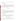RKIS, to minimize waste. All stock and injection solutions shall be prepared under the direction of the facility manager.

#### **6.1.5 Mercury Spiking Standard**

A National Institute of Standards and Technology (NIST)-traceable aqueous Hg standard, obtained from a commercial supplier, shall be used as the spiking solution in the performance evaluation (PE) of OH analysis noted in Section 7.2.2. If spiking the particle filter in the OH train is required in the PE of CEM determinations of particulate Hg, then a NIST coal flyash standard reference material shall be used as the spiking material.

#### **6.2 Reference Method**

#### **6.2.1 Sampling Trains**

The glassware, filters, and associated equipment for the OH reference method<sup> $(4)$ </sup> sampling shall be supplied by EPA at the RKIS facility. Multiple trains shall be supplied so that as many as 12 trains (i.e., three sampling runs with four trains each) may be sampled in a single day, in addition to at least one blank train per day. Preparation, sampling, sample recovery, and cleaning of used trains is the responsibility of the test facility.

#### **6.2.2 Analysis Equipment**

Laboratory equipment for sample recovery and analysis shall be provided by the test facility. This includes all chemicals and solutions for rinsing train components and recovering impinger samples, as well as CVAA or CVAFS equipment for Hg determination.

#### **6.3 RKIS Monitoring Equipment**

Verification tests use monitoring equipment already integrated into the test facility. At the RKIS facility, this equipment includes monitors for major flue gas constituents  $(O_2, CO_2)$  and for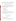chemical contaminants  $(CO, NO_x, SO_2, HCl)$ , as well as sensors for temperature and pressure. These monitors are identified in Table 2. These devices are considered part of the RKIS facility for the purpose of a verification test and are operated according to normal RKIS procedures.

#### **6.4 Equipment Used for Performance Evaluation Audits**

As described in Section 7.2.2, PE audits shall be performed for the  $O_2$ ,  $CO_2$ , temperature, and pressure measurements in the RKIS flue gas. Those PE audits are performed by conducting a parallel measurement using an independent monitoring device. The devices to be used are provided by Battelle and may include the following:

- Paramagnetic  $O_2$  monitor
- Infrared  $CO<sub>2</sub>$  monitor
- Thermocouple temperature indicator
- Aneroid barometer
- Magnehelic differential pressure indicator.

These devices shall have been calibrated by the manufacturer or by Battelle's Instrument Laboratory within the six months immediately preceding the verification test. In addition, a calibrated set of weights shall be used to audit the balance used to weigh impingers from the OH trains for determining flue gas  $H<sub>2</sub>O$  content.

# **7 QUALITY ASSURANCE/QUALITY CONTROL**

#### **7.1 Equipment Calibration**

#### **7.1.1 Test Facility Monitoring Equipment**

The test facility CEMs and other monitoring devices noted in Section 6.3 shall be calibrated by EPA and contractor staff according to normal facility procedures. However, a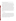distinction must be made between those measurements that factor directly into verification results, and those which are secondary in nature.

Measurements that factor directly into verification results are those that are used in calculating results from the OH method. Those include flue gas temperature, pressure, and  $O<sub>2</sub>$ and  $CO<sub>2</sub>$  content. For these measurements, compliance-level calibration procedures are required and shall be carried out by appropriate test facility staff. The pertinent calibration procedures shall be conducted on a schedule chosen by this staff, and suitable to assure adequate data quality during the verification. All calibration results must be documented for inclusion in the verification data files and verification report. The flue gas H<sub>2</sub>O content is determined from impinger weights in the OH trains. Calibration records for the balance used shall be documented.

Measurements that do not factor directly into verification results include monitoring the pollutant gases CO,  $NO_x$ ,  $SO_2$ , and HCl. These data indicate the level of flue gas constituents during interference testing or flue gas sampling. Calibration of the CEMs for these species need not meet compliance requirements, although, for some species, such calibration requirements may be in place due to the emission limits on the RKIS itself. For these species, single-point calibrations during the verification test, coupled with existing documentation of linear response, are sufficient.

#### **7.1.2 Reference Method**

The facility performing the OH method sampling must perform all required QA/QC activities stated in the method. This includes providing blank sampling trains (one per sampling day at either the upstream or downstream location) and blank sampling materials (filters, reagent solution blanks) in the field. Documentation of these activities is required for inclusion in the verification data file. Deviation from the OH method shall occur only in that the duct will not be traversed. Options for making particulate mass measurements, and for quickly turning glassware around in sample recovery, shall be used. OH trains shall be spiked by Battelle staff as recommended in the OH method (Section 7.2.3 of the method).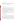#### **7.1.3 Analytical Laboratory**

The laboratory analyzing the samples from the OH method must document all required calibrations conducted on the mercury analysis equipment. That documentation may be provided as part of an overall data package that includes the analytical results.

### **7.2 Audits**

#### **7.2.1 Technical Systems Audits**

The Battelle Quality Manager shall perform a TSA once during a verification test. The purpose of this audit is to ensure that the verification test is being performed in accordance with the AMS Center  $QMP^{(1)}$  and this test protocol and that all  $QA/QC$  procedures are being implemented. In this audit, the Battelle Quality Manager may review the reference sampling and analysis methods used, compare actual test procedures to those specified in this protocol, and review data acquisition and handling procedures. The Battelle Quality Manager shall prepare a TSA report, the findings of which must be addressed either by modifications of test procedures or by documentation in the test records and report.

At EPA's discretion, EPA QA staff also may conduct an independent on-site TSA during the verification test. The TSA findings shall be communicated to testing staff at the time of the audit and documented in a TSA report.

#### **7.2.2 Performance Evaluation Audit**

A PE audit shall be conducted to assess the quality of the measurements made in this verification test. This audit should address only those measurements that factor into the data used for verification, i.e., the CEMs being verified and the vendors operating these CEMs are not the subject of the PE audit. This audit is performed once during the verification test and must be performed by comparing Battelle measurements with a standard or a reference that is independent of standards used during the testing. For most of the key measurements, this audit shall be done by comparing data from the RKIS equipment to that from a second analyzer or monitor operated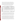simultaneously. For example, the PE audit of  $O_2$  data involves sampling with a second  $O_2$ analyzer at the same point in the duct and comparing results. Similar comparisons shall be made for temperature, pressure, and  $CO<sub>2</sub>$ . In addition, the balance used to determine flue gas  $H<sub>2</sub>O$ content by means of the OH impinger samples shall be checked with a calibrated set of weights. Table 7 summarizes the PE audits that will be done. These audits are the responsibility of Battelle staff and shall be carried out with the cooperation of EPA and test facility staff.

| <b>Parameter</b>                                                                                  | <b>Audit Procedure</b>                             | <b>Expected Tolerance</b>                  |  |
|---------------------------------------------------------------------------------------------------|----------------------------------------------------|--------------------------------------------|--|
| $\mathbf{O}_2$                                                                                    | Compare to independent O <sub>2</sub> measurement  | $\pm 1\%$ O <sub>2</sub>                   |  |
| $\mathbf{CO}_2$                                                                                   | Compare to independent CO <sub>2</sub> measurement | $\pm 10\%$ of CO <sub>2</sub> reading      |  |
| <b>Temperature</b>                                                                                | Compare to independent temperature measurement     | $\pm 2\%$ absolute temperature             |  |
| Barometric<br><b>Pressure</b>                                                                     | Compare to independent pressure measurement        | $\pm 0.5$ inch of H <sub>2</sub> O         |  |
| <b>Flue Gas</b><br>Compare to independent pressure measurement<br>Differential<br><b>Pressure</b> |                                                    | $\pm 0.5$ inch of H <sub>2</sub> O         |  |
| Mass $(H, O)$                                                                                     | Check balance with calibrated weights              | $\pm 1\%$ or 0.5 g, whichever is<br>larger |  |

**Table 7. Summary of PE Audits on Test Facility Measurements** 

These PE audits shall be carried once during the period of operation at the test facility. Battelle supplies the equipment needed to make the independent PE measurements. If agreement outside the indicated tolerance is found, the test is repeated. Further failure to achieve agreement results in recalibrating the independent measurement device or using a different measurement device.

For Hg, this PE requirement is difficult because of the absence of convenient absolute gas-phase Hg standards or independent measurement devices. Consequently, this audit consists of spiking one or more OH sampling trains with known amounts of Hg and conducting sample analysis on the train without sampling combustion gas. If the CEMs undergoing verification do not determine particulate Hg, then only the impingers of the OH train are spiked. A NISTtraceable Hg standard solution is used for that purpose. Agreement of Hg determined in sample analysis with that spiked into the sample train is expected to be within 10%. Because of the time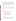required for sample analysis, the PE audit results for Hg may not be known until after the verification tests are completed. The response to PE audit results outside the expected tolerance is to consider possible causes for the disagreement and, if appropriate, to note in the verification reports the implications of OH PE results on CEM verification results. If one or more of the CEMs undergoing verification determines particulate Hg, then a Hg standard also is used to spike the particle filter in the OH train. Battelle's Quality Manager shall assess PE audit results.

## **7.2.3 Audits of Data Quality**

Battelle's Quality Manager shall audit at least 10% of the verification data acquired in the verification test. The Quality Manager traces the data from initial acquisition, through reduction and statistical comparisons, to final reporting. All calculations performed on the data undergoing audit are checked.

#### **7.2.4 Assessment Reports**

Each assessment and audit shall be documented in accordance with Section 2.9.7 of the QMP for the AMS pilot.<sup>(1)</sup> Assessment reports include the following:

- Identification of any adverse findings or potential problems
- �Space for response to adverse findings or potential problems
- Possible recommendations for resolving problems
- �Citation of any noteworthy practices that may be of use to others
- Confirmation that solutions have been implemented and are effective.

#### **7.2.5 Corrective Action**

The Battelle Quality Manager, during the course of any audit, shall identify to the technical staff performing experimental activities any immediate corrective action that should be taken. If serious quality problems exist, the Battelle Quality Manager is authorized to stop work.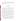Once the assessment report has been prepared, the Verification Testing Leader shall ensure that a response is provided for each adverse finding or potential problem and shall implement any necessary followup corrective action. The Quality Manager shall ensure that follow-up corrective action has been taken.

#### **8 DATA ANALYSIS AND REPORTING**

#### **8.1 Data Acquisition**

Data acquisition in a verification test includes recording response data from the CEMs undergoing testing, documentating sampling conditions and analytical results from the reference method, and recording operational data such as combustion source conditions, test temperatures, the times of test activities.

Data acquisition for the commercial CEMs undergoing verification shall be performed by the CEM vendors during the test. Each CEM must have some form of data acquisition device, such as a digital display whose readings can be recorded manually, a printout of analyzer response, or an electronic data recorder that stores individual analyzer readings. For all tests, the vendor shall be responsible for reporting the response of the CEM to the sample provided. The CEM data are to be provided to Battelle at the end of each test day and must include the results of all tests conducted on that day. The CEM data must include all individual readings of the CEM (i.e., TVM, EM, etc.) listed by time of day. Averaged results, e.g., TVM data averaged over the period of an OH sampling run, may also be provided, if available. If not provided, averaging shall be performed by Battelle in data processing. Electronic data files are the preferred means of data transfer, with Excel® or ASCII file formats preferred.

Other data shall be recorded in laboratory record books maintained by Battelle, EPA, and test facility staff involved in the testing. These records are reviewed on a daily basis to identify and resolve any inconsistencies. All written records must be in ink. Any corrections to notebook entries, or changes in recorded data, must be made with a single line through the original entry. The correction is then to be entered, initialed, and dated by the person making the correction.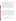In all cases, strict confidentiality of data from each vendor's CEM, and strict separation of data from different CEMs, is maintained. Separate files (including manual records, printouts, and/or electronic data files) are kept for each CEM. At no time during verification testing will Battelle staff engage in any comparison or discussion of different CEMs.

Table 8 summarizes the types of data to be recorded; where, how often, and by whom the recording is made; and the disposition or subsequent processing of the data. The general approach is to record all test information immediately and in a consistent format throughout all tests. Data recorded by the vendors are to be turned over to Battelle staff immediately upon completion of each test day. Identical file formats are used to make quantitative evaluations of the data from all CEMs tested to assure uniformity of data treatment. This process of data recording and compiling is overseen by the Verification Testing Leader and Battelle Quality Manager.

#### **8.2 Data Review**

Records generated in the verification test shall receive a one-over-one review within two weeks after generation, before these records are used to calculate, evaluate, or report verification results. These records may include laboratory record books, operating data from the combustion source, data from the CEMs, or reference method analytical results. This review is performed by a Battelle technical staff member involved in the verification test, but not the staff member that originally generated the record. EPA/test facility and/or vendor staff are consulted as needed to clarify any issues about the data records. The review shall be documented by the person performing the review by adding his or her initials and date to a hard copy of the record being reviewed. This hard copy is then be returned to the Battelle staff member who generated or who will be storing the record.

#### **8.3 Reporting**

The statistical data comparisons described in Sections 4.5 and 5 are conducted separately for each commercial Hg CEM. Separate verification reports are prepared, each addressing the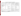|  |  |  |  |  |  | Table 8. Summary of Data Recording Process for the Verification Test |  |
|--|--|--|--|--|--|----------------------------------------------------------------------|--|
|--|--|--|--|--|--|----------------------------------------------------------------------|--|

| Data to be Recorded                                                                                          | <b>Responsible Party</b>              | <b>Where Recorded</b>                                                                   | <b>How Often Recorded</b>                                                                | <b>Disposition of Data<sup>a</sup></b>                                                              |
|--------------------------------------------------------------------------------------------------------------|---------------------------------------|-----------------------------------------------------------------------------------------|------------------------------------------------------------------------------------------|-----------------------------------------------------------------------------------------------------|
| Dates, times of test events                                                                                  | Battelle/EPA                          | Laboratory record books                                                                 | Start/end of test, and at each<br>change of a test parameter.                            | Used to organize/check test<br>results; manually incorporated in<br>data spreadsheets as necessary. |
| Test parameters (tempera-<br>ture, analyte/interferant<br>identities and concentrations,<br>gas flows, etc.) | EPA/Test Facility/<br><b>Battelle</b> | Laboratory record books                                                                 | When set or changed, or as<br>needed to document stability.                              | Used to organize/check test<br>results, manually incorporated in<br>data spreadsheets as necessary. |
| Hg CEM readings<br>digital display                                                                           | Vendor                                | Data sheets provided by<br>Battelle.                                                    | At specified points during<br>each test.                                                 | Manually entered into<br>spreadsheets                                                               |
| printout                                                                                                     | Vendor                                | Original to Battelle, copy to<br>vendor.                                                | At specified points during<br>each test.                                                 | Manually entered into<br>spreadsheets                                                               |
| electronic output                                                                                            | Vendor                                | Data acquisition system (data<br>logger, PC, laptop, etc.).                             | Continuously at specified<br>acquisition rate throughout<br>each test.                   | Electronically transferred to<br>spreadsheets                                                       |
| Reference method sampling<br>data                                                                            | <b>Test Facility/EPA</b>              | Laboratory record books                                                                 | At least at start/end of<br>reference sample, and at each<br>change of a test parameter. | Used to organize/check test<br>results; manually incorporated in<br>data spreadsheets as necessary. |
| Reference method sample<br>analysis, chain of custody,<br>and results                                        | <b>Test Facility/EPA</b>              | Laboratory record books, data<br>sheets, or data acquisition<br>system, as appropriate. | Throughout sample handling<br>and analysis process                                       | Transferred to spreadsheets                                                                         |

<sup>a</sup> All activities subsequent to data recording are carried out by Battelle.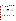US EPA ARCHIVE DOCUMENT

CEM provided by one commercial vendor. The verification report presents the test data, as well as the results of the statistical evaluation of those data.

The verification report shall briefly describe the ETV program, the AMS Center, and the procedures used in verification testing. These sections shall be common to each verification report resulting from the verification test. The results of the verification test shall then be stated quantitatively, without comparison to any other CEM tested or any comment on the acceptability of the CEM's performance. The preparation of draft verification reports, review of reports by vendors and others, revision of the reports, final approval, and distribution of the reports shall be conducted as stated in the "Generic Verification Protocol for the Advanced Monitoring Systems Pilot."<sup>(9)</sup> Preparation, approval, and use of verification statements summarizing the results of this test will also be subject to the requirements of that same protocol.

#### **9 HEALTH AND SAFETY**

All participants in the verification test (i.e., Battelle, EPA, test facility, and vendor staff) shall adhere to the test facility's health and safety requirements. Those requirements include completion of a 24-hour HAZWOPR training course before participation in any activities at the facility. Vendor staff shall operate only their Hg CEMs during the verification test. They are not responsible for operating, nor are they permitted to operate, the combustion source; they will not perform any other verification activities identified in this protocol. Operation of the CEMs themselves does not pose any known chemical, fire, mechanical, electrical, noise, or other potential hazard.

All visiting staff at the RKIS shall be given a site-specific safety briefing prior to installing and operating the CEMs. This briefing includes a description of emergency operating procedures (i.e., in case of fire, tornado, laboratory accident) and identifies and describes the location and operation of safety equipment (e.g., fire alarms, fire extinguishers, eye washes, exits). The following safe work practices must be followed by all staff involved in the Hg CEM verification at the RKIS facility:

� All staff will be required to wear protective glasses, buttoned laboratory coats, and steel-toed safety shoes while working in the facility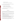- Hearing protection is recommended
- Eating, drinking, and smoking are only permitted in designated areas.

A "three warning" system shall be enforced by EPA and contractor staff operating the RKIS facility to assure compliance with these safety practices:

- First infraction—violator receives a verbal warning
- Second infraction—violator receives a written warning
- Third infraction—violator will be requested to leave the facility.

Verification tests performed at other suitable locations must be carried out under the specific safety requirements of those facilities.

# **10 REFERENCES**

- 1. "Quality Management Plan (QMP) for the ETV Advanced Monitoring Systems Center," U.S. EPA Environmental Technology Verification Program, Battelle, Columbus, Ohio, December 2001.
- 2. "Environmental Technology Verification Program Quality and Management Plan for the Pilot Period (1995-2000)," EPA-600/R-98/064, U.S. Environmental Protection Agency, Cincinnati, Ohio, May 1998.
- 3. "Speciated Mercury Emission Test Reports," produced in response to EPA's information collection request on utility mercury emissions, at www.epa.gov/ttn/uatw/combust/utiltox/mercury.html.
- 4. "Standard Test Method for Elemental, Oxidized, Particle-Bound, and Total Mercury in Flue Gas Generated from Coal-Fired Stationary Sources (Ontario Hydro Method)," American Society for Testing and Materials, Draft Method, October 27, 1999.
- 5. Personal communication from Jeff Ryan, U.S. EPA/ORD/NRMRL, June 28, 2000.
- 6. "Evaluation of Flue Gas Mercury Speciation Methods," EPRI Technical Report TR-108988, Electric Power Research Institute, Palo Alto, California, December 1997.